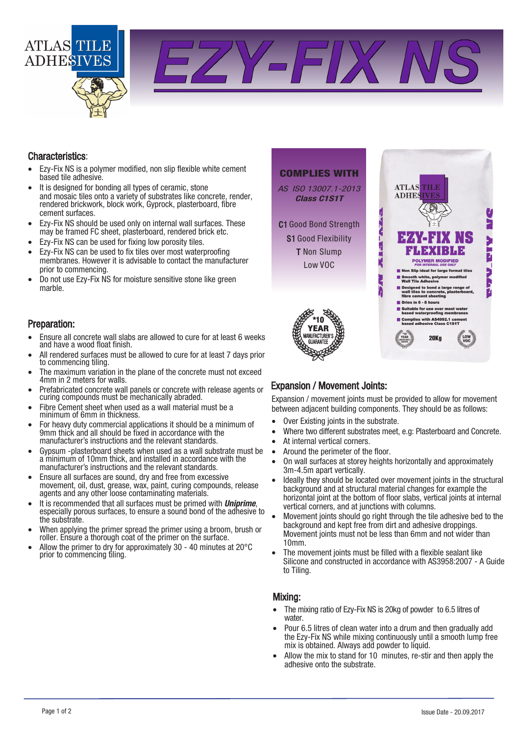

Y-FIX

### Characteristics:

- Ezy-Fix NS is a polymer modified, non slip flexible white cement based tile adhesive.
- It is designed for bonding all types of ceramic, stone and mosaic tiles onto a variety of substrates like concrete, render, rendered brickwork, block work, Gyprock, plasterboard, fibre cement surfaces.
- Ezy-Fix NS should be used only on internal wall surfaces. These may be framed FC sheet, plasterboard, rendered brick etc.
- Ezy-Fix NS can be used for fixing low porosity tiles.
- Ezy-Fix NS can be used to fix tiles over most waterproofing membranes. However it is advisable to contact the manufacturer prior to commencing.
- Do not use Ezy-Fix NS for moisture sensitive stone like green marble.

#### Preparation:

- Ensure all concrete wall slabs are allowed to cure for at least 6 weeks and have a wood float finish.
- All rendered surfaces must be allowed to cure for at least 7 days prior to commencing tiling.
- The maximum variation in the plane of the concrete must not exceed 4mm in 2 meters for walls.
- Prefabricated concrete wall panels or concrete with release agents or curing compounds must be mechanically abraded.
- Fibre Cement sheet when used as a wall material must be a minimum of 6mm in thickness.
- For heavy duty commercial applications it should be a minimum of 9mm thick and all should be fixed in accordance with the manufacturer's instructions and the relevant standards.
- Gypsum -plasterboard sheets when used as a wall substrate must be a minimum of 10mm thick, and installed in accordance with the manufacturer's instructions and the relevant standards.
- Ensure all surfaces are sound, dry and free from excessive movement, oil, dust, grease, wax, paint, curing compounds, release agents and any other loose contaminating materials.
- It is recommended that all surfaces must be primed with *Uniprime*. especially porous surfaces, to ensure a sound bond of the adhesive to the substrate.
- When applying the primer spread the primer using a broom, brush or roller. Ensure a thorough coat of the primer on the surface.
- Allow the primer to dry for approximately 30 40 minutes at 20°C prior to commencing tiling.



### Expansion / Movement Joints:

Expansion / movement joints must be provided to allow for movement between adjacent building components. They should be as follows:

- Over Existing joints in the substrate.
- Where two different substrates meet, e.g: Plasterboard and Concrete.
- At internal vertical corners.
- Around the perimeter of the floor.
- On wall surfaces at storey heights horizontally and approximately 3m-4.5m apart vertically.
- Ideally they should be located over movement joints in the structural background and at structural material changes for example the horizontal joint at the bottom of floor slabs, vertical joints at internal vertical corners, and at junctions with columns.
- Movement joints should go right through the tile adhesive bed to the background and kept free from dirt and adhesive droppings. Movement joints must not be less than 6mm and not wider than 10mm.
- The movement joints must be filled with a flexible sealant like Silicone and constructed in accordance with AS3958:2007 - A Guide to Tiling.

### Mixing:

- The mixing ratio of Ezy-Fix NS is 20kg of powder to 6.5 litres of water.
- Pour 6.5 litres of clean water into a drum and then gradually add the Ezy-Fix NS while mixing continuously until a smooth lump free mix is obtained. Always add powder to liquid.
- Allow the mix to stand for 10 minutes, re-stir and then apply the adhesive onto the substrate.